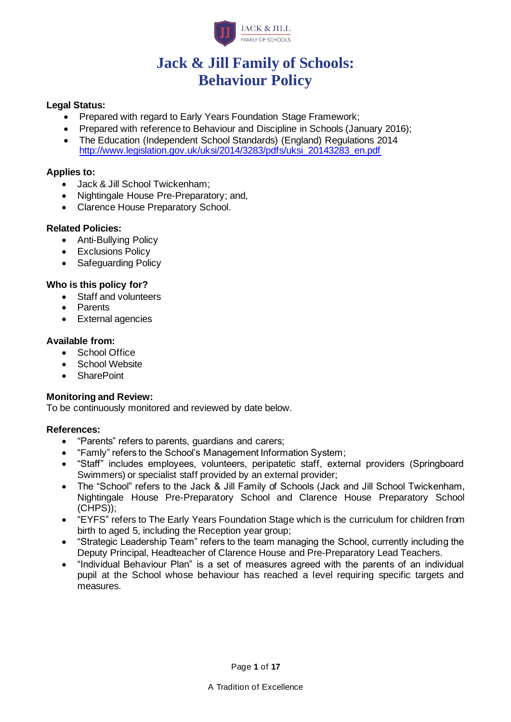

# **Jack & Jill Family of Schools: Behaviour Policy**

#### **Legal Status:**

- Prepared with regard to Early Years Foundation Stage Framework;
- Prepared with reference to Behaviour and Discipline in Schools (January 2016);
- The Education (Independent School Standards) (England) Regulations 2014 [http://www.legislation.gov.uk/uksi/2014/3283/pdfs/uksi\\_20143283\\_en.pdf](http://www.legislation.gov.uk/uksi/2014/3283/pdfs/uksi_20143283_en.pdf)

#### **Applies to:**

- Jack & Jill School Twickenham;
- Nightingale House Pre-Preparatory; and,
- Clarence House Preparatory School.

#### **Related Policies:**

- Anti-Bullying Policy
- Exclusions Policy
- Safeguarding Policy

#### **Who is this policy for?**

- Staff and volunteers
- Parents
- External agencies

#### **Available from:**

- School Office
- School Website
- SharePoint

## **Monitoring and Review:**

To be continuously monitored and reviewed by date below.

#### **References:**

- "Parents" refers to parents, guardians and carers;
- "Famly" refers to the School's Management Information System;
- "Staff" includes employees, volunteers, peripatetic staff, external providers (Springboard Swimmers) or specialist staff provided by an external provider;
- The "School" refers to the Jack & Jill Family of Schools (Jack and Jill School Twickenham, Nightingale House Pre-Preparatory School and Clarence House Preparatory School (CHPS));
- "EYFS" refers to The Early Years Foundation Stage which is the curriculum for children from birth to aged 5, including the Reception year group;
- "Strategic Leadership Team" refers to the team managing the School, currently including the Deputy Principal, Headteacher of Clarence House and Pre-Preparatory Lead Teachers.
- "Individual Behaviour Plan" is a set of measures agreed with the parents of an individual pupil at the School whose behaviour has reached a level requiring specific targets and measures.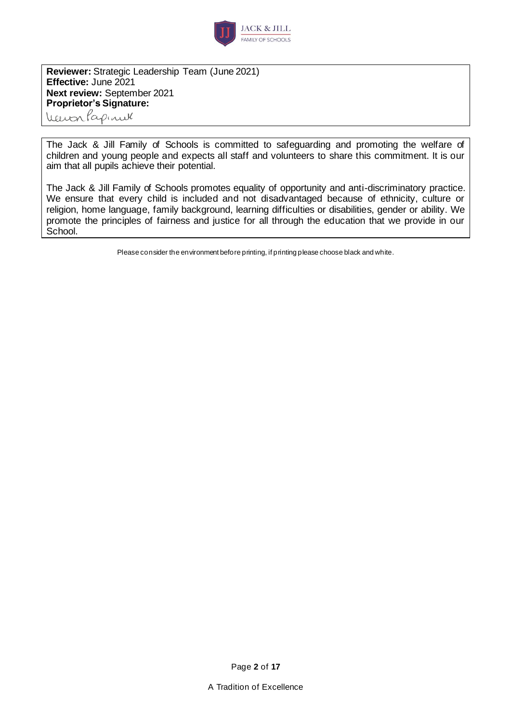

**Reviewer:** Strategic Leadership Team (June 2021) **Effective:** June 2021 **Next review:** September 2021 **Proprietor's Signature:**

Veuvalapinul

The Jack & Jill Family of Schools is committed to safeguarding and promoting the welfare of children and young people and expects all staff and volunteers to share this commitment. It is our aim that all pupils achieve their potential.

The Jack & Jill Family of Schools promotes equality of opportunity and anti-discriminatory practice. We ensure that every child is included and not disadvantaged because of ethnicity, culture or religion, home language, family background, learning difficulties or disabilities, gender or ability. We promote the principles of fairness and justice for all through the education that we provide in our School.

Please consider the environment before printing, if printing please choose black and white.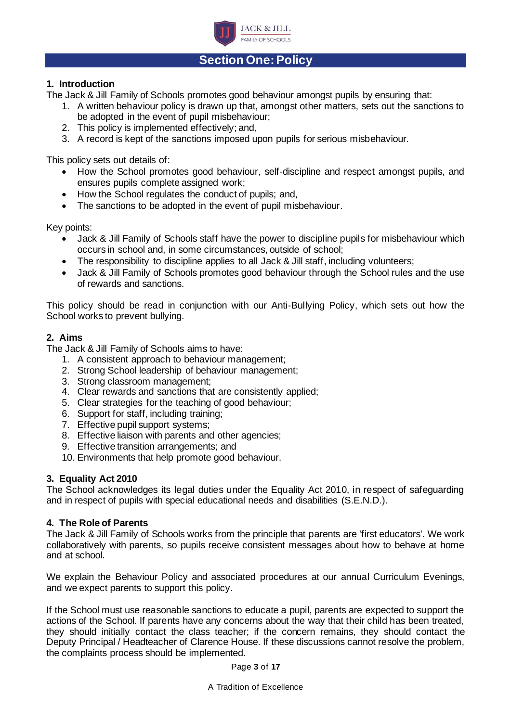

## **Section One: Policy**

#### **1. Introduction**

The Jack & Jill Family of Schools promotes good behaviour amongst pupils by ensuring that:

- 1. A written behaviour policy is drawn up that, amongst other matters, sets out the sanctions to be adopted in the event of pupil misbehaviour;
- 2. This policy is implemented effectively; and,
- 3. A record is kept of the sanctions imposed upon pupils for serious misbehaviour.

This policy sets out details of:

- How the School promotes good behaviour, self-discipline and respect amongst pupils, and ensures pupils complete assigned work;
- How the School regulates the conduct of pupils; and,
- The sanctions to be adopted in the event of pupil misbehaviour.

Key points:

- Jack & Jill Family of Schools staff have the power to discipline pupils for misbehaviour which occurs in school and, in some circumstances, outside of school;
- The responsibility to discipline applies to all Jack & Jill staff, including volunteers;
- Jack & Jill Family of Schools promotes good behaviour through the School rules and the use of rewards and sanctions.

This policy should be read in conjunction with our Anti-Bullying Policy, which sets out how the School works to prevent bullying.

#### **2. Aims**

The Jack & Jill Family of Schools aims to have:

- 1. A consistent approach to behaviour management;
- 2. Strong School leadership of behaviour management;
- 3. Strong classroom management;
- 4. Clear rewards and sanctions that are consistently applied;
- 5. Clear strategies for the teaching of good behaviour;
- 6. Support for staff, including training;
- 7. Effective pupil support systems;
- 8. Effective liaison with parents and other agencies;
- 9. Effective transition arrangements; and
- 10. Environments that help promote good behaviour.

#### **3. Equality Act 2010**

The School acknowledges its legal duties under the Equality Act 2010, in respect of safeguarding and in respect of pupils with special educational needs and disabilities (S.E.N.D.).

#### **4. The Role of Parents**

The Jack & Jill Family of Schools works from the principle that parents are 'first educators'. We work collaboratively with parents, so pupils receive consistent messages about how to behave at home and at school.

We explain the Behaviour Policy and associated procedures at our annual Curriculum Evenings, and we expect parents to support this policy.

If the School must use reasonable sanctions to educate a pupil, parents are expected to support the actions of the School. If parents have any concerns about the way that their child has been treated, they should initially contact the class teacher; if the concern remains, they should contact the Deputy Principal / Headteacher of Clarence House. If these discussions cannot resolve the problem, the complaints process should be implemented.

Page **3** of **17**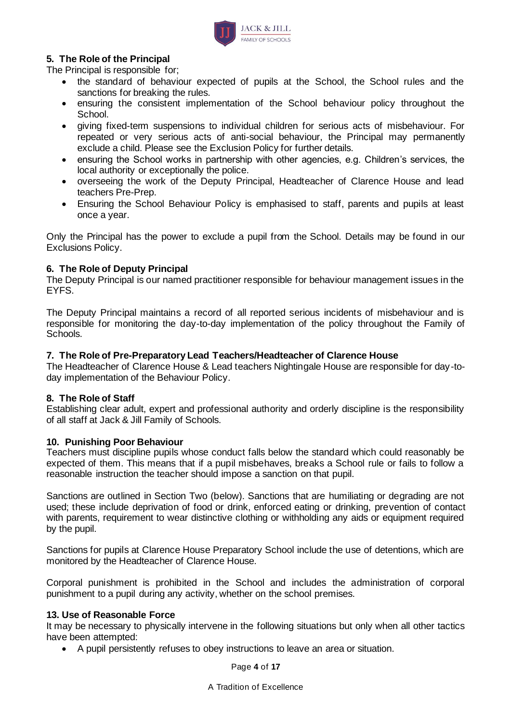

#### **5. The Role of the Principal**

The Principal is responsible for;

- the standard of behaviour expected of pupils at the School, the School rules and the sanctions for breaking the rules.
- ensuring the consistent implementation of the School behaviour policy throughout the School.
- giving fixed-term suspensions to individual children for serious acts of misbehaviour. For repeated or very serious acts of anti-social behaviour, the Principal may permanently exclude a child. Please see the Exclusion Policy for further details.
- ensuring the School works in partnership with other agencies, e.g. Children's services, the local authority or exceptionally the police.
- overseeing the work of the Deputy Principal, Headteacher of Clarence House and lead teachers Pre-Prep.
- Ensuring the School Behaviour Policy is emphasised to staff, parents and pupils at least once a year.

Only the Principal has the power to exclude a pupil from the School. Details may be found in our Exclusions Policy.

#### **6. The Role of Deputy Principal**

The Deputy Principal is our named practitioner responsible for behaviour management issues in the EYFS.

The Deputy Principal maintains a record of all reported serious incidents of misbehaviour and is responsible for monitoring the day-to-day implementation of the policy throughout the Family of Schools.

#### **7. The Role of Pre-Preparatory Lead Teachers/Headteacher of Clarence House**

The Headteacher of Clarence House & Lead teachers Nightingale House are responsible for day-today implementation of the Behaviour Policy.

#### **8. The Role of Staff**

Establishing clear adult, expert and professional authority and orderly discipline is the responsibility of all staff at Jack & Jill Family of Schools.

#### **10. Punishing Poor Behaviour**

Teachers must discipline pupils whose conduct falls below the standard which could reasonably be expected of them. This means that if a pupil misbehaves, breaks a School rule or fails to follow a reasonable instruction the teacher should impose a sanction on that pupil.

Sanctions are outlined in Section Two (below). Sanctions that are humiliating or degrading are not used; these include deprivation of food or drink, enforced eating or drinking, prevention of contact with parents, requirement to wear distinctive clothing or withholding any aids or equipment required by the pupil.

Sanctions for pupils at Clarence House Preparatory School include the use of detentions, which are monitored by the Headteacher of Clarence House.

Corporal punishment is prohibited in the School and includes the administration of corporal punishment to a pupil during any activity, whether on the school premises.

#### **13. Use of Reasonable Force**

It may be necessary to physically intervene in the following situations but only when all other tactics have been attempted:

• A pupil persistently refuses to obey instructions to leave an area or situation.

Page **4** of **17**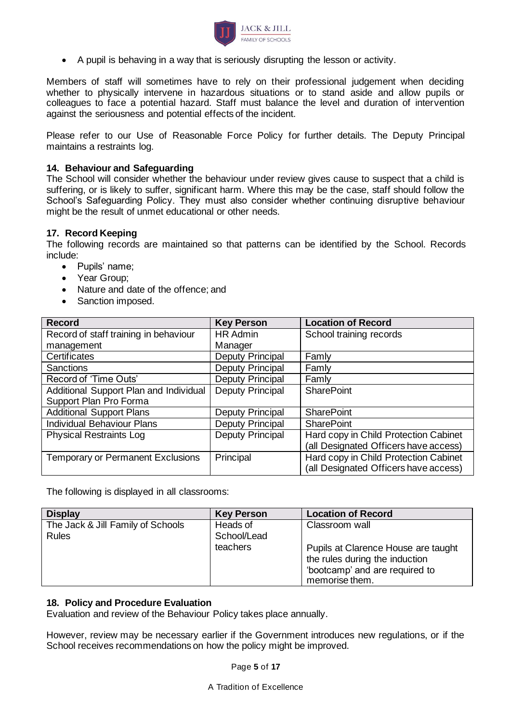

• A pupil is behaving in a way that is seriously disrupting the lesson or activity.

Members of staff will sometimes have to rely on their professional judgement when deciding whether to physically intervene in hazardous situations or to stand aside and allow pupils or colleagues to face a potential hazard. Staff must balance the level and duration of intervention against the seriousness and potential effects of the incident.

Please refer to our Use of Reasonable Force Policy for further details. The Deputy Principal maintains a restraints log.

#### **14. Behaviour and Safeguarding**

The School will consider whether the behaviour under review gives cause to suspect that a child is suffering, or is likely to suffer, significant harm. Where this may be the case, staff should follow the School's Safeguarding Policy. They must also consider whether continuing disruptive behaviour might be the result of unmet educational or other needs.

#### **17. Record Keeping**

The following records are maintained so that patterns can be identified by the School. Records include:

- Pupils' name;
- Year Group;
- Nature and date of the offence; and
- Sanction imposed.

| <b>Record</b>                            | <b>Key Person</b>       | <b>Location of Record</b>             |
|------------------------------------------|-------------------------|---------------------------------------|
| Record of staff training in behaviour    | <b>HR Admin</b>         | School training records               |
| management                               | Manager                 |                                       |
| Certificates                             | <b>Deputy Principal</b> | Famly                                 |
| <b>Sanctions</b>                         | Deputy Principal        | Famly                                 |
| Record of 'Time Outs'                    | Deputy Principal        | Famly                                 |
| Additional Support Plan and Individual   | Deputy Principal        | <b>SharePoint</b>                     |
| Support Plan Pro Forma                   |                         |                                       |
| <b>Additional Support Plans</b>          | <b>Deputy Principal</b> | <b>SharePoint</b>                     |
| <b>Individual Behaviour Plans</b>        | Deputy Principal        | <b>SharePoint</b>                     |
| <b>Physical Restraints Log</b>           | Deputy Principal        | Hard copy in Child Protection Cabinet |
|                                          |                         | (all Designated Officers have access) |
| <b>Temporary or Permanent Exclusions</b> | Principal               | Hard copy in Child Protection Cabinet |
|                                          |                         | (all Designated Officers have access) |

The following is displayed in all classrooms:

| <b>Display</b>                    | <b>Key Person</b> | <b>Location of Record</b>                                                                                                 |
|-----------------------------------|-------------------|---------------------------------------------------------------------------------------------------------------------------|
| The Jack & Jill Family of Schools | Heads of          | Classroom wall                                                                                                            |
| <b>Rules</b>                      | School/Lead       |                                                                                                                           |
|                                   | teachers          | Pupils at Clarence House are taught<br>the rules during the induction<br>'bootcamp' and are required to<br>memorise them. |

#### **18. Policy and Procedure Evaluation**

Evaluation and review of the Behaviour Policy takes place annually.

However, review may be necessary earlier if the Government introduces new regulations, or if the School receives recommendations on how the policy might be improved.

Page **5** of **17**

A Tradition of Excellence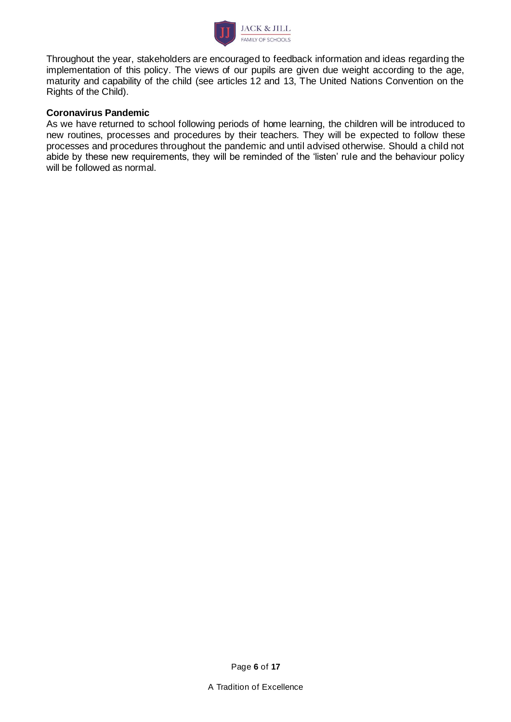

Throughout the year, stakeholders are encouraged to feedback information and ideas regarding the implementation of this policy. The views of our pupils are given due weight according to the age, maturity and capability of the child (see articles 12 and 13, The United Nations Convention on the Rights of the Child).

#### **Coronavirus Pandemic**

As we have returned to school following periods of home learning, the children will be introduced to new routines, processes and procedures by their teachers. They will be expected to follow these processes and procedures throughout the pandemic and until advised otherwise. Should a child not abide by these new requirements, they will be reminded of the 'listen' rule and the behaviour policy will be followed as normal.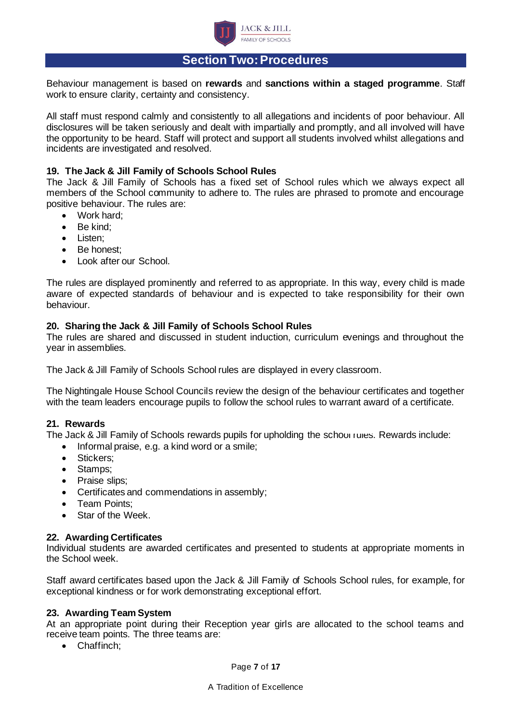

## **Section Two: Procedures**

Behaviour management is based on **rewards** and **sanctions within a staged programme**. Staff work to ensure clarity, certainty and consistency.

All staff must respond calmly and consistently to all allegations and incidents of poor behaviour. All disclosures will be taken seriously and dealt with impartially and promptly, and all involved will have the opportunity to be heard. Staff will protect and support all students involved whilst allegations and incidents are investigated and resolved.

#### **19. The Jack & Jill Family of Schools School Rules**

The Jack & Jill Family of Schools has a fixed set of School rules which we always expect all members of the School community to adhere to. The rules are phrased to promote and encourage positive behaviour. The rules are:

- Work hard;
- Be kind;
- Listen;
- Be honest;
- Look after our School.

The rules are displayed prominently and referred to as appropriate. In this way, every child is made aware of expected standards of behaviour and is expected to take responsibility for their own behaviour.

#### **20. Sharing the Jack & Jill Family of Schools School Rules**

The rules are shared and discussed in student induction, curriculum evenings and throughout the year in assemblies.

The Jack & Jill Family of Schools School rules are displayed in every classroom.

The Nightingale House School Councils review the design of the behaviour certificates and together with the team leaders encourage pupils to follow the school rules to warrant award of a certificate.

#### **21. Rewards**

The Jack & Jill Family of Schools rewards pupils for upholding the school rules. Rewards include:

- Informal praise, e.g. a kind word or a smile;
- Stickers;
- Stamps;
- Praise slips;
- Certificates and commendations in assembly;
- Team Points;
- Star of the Week.

#### **22. Awarding Certificates**

Individual students are awarded certificates and presented to students at appropriate moments in the School week.

Staff award certificates based upon the Jack & Jill Family of Schools School rules, for example, for exceptional kindness or for work demonstrating exceptional effort.

#### **23. Awarding Team System**

At an appropriate point during their Reception year girls are allocated to the school teams and receive team points. The three teams are:

• Chaffinch;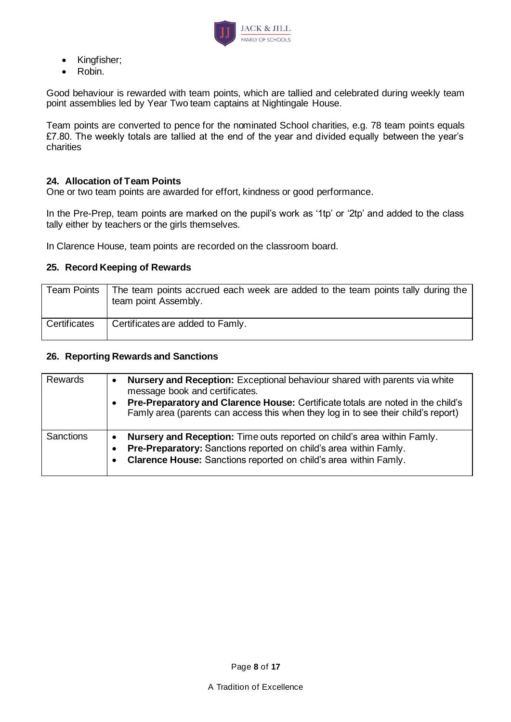

- Kingfisher;
- Robin.

Good behaviour is rewarded with team points, which are tallied and celebrated during weekly team point assemblies led by Year Two team captains at Nightingale House.

Team points are converted to pence for the nominated School charities, e.g. 78 team points equals £7.80. The weekly totals are tallied at the end of the year and divided equally between the year's charities

#### **24. Allocation of Team Points**

One or two team points are awarded for effort, kindness or good performance.

In the Pre-Prep, team points are marked on the pupil's work as '1tp' or '2tp' and added to the class tally either by teachers or the girls themselves.

In Clarence House, team points are recorded on the classroom board.

#### **25. Record Keeping of Rewards**

|              | Team Points   The team points accrued each week are added to the team points tally during the<br>team point Assembly. |
|--------------|-----------------------------------------------------------------------------------------------------------------------|
| Certificates | Certificates are added to Famly.                                                                                      |

#### **26. Reporting Rewards and Sanctions**

| Rewards          | <b>Nursery and Reception:</b> Exceptional behaviour shared with parents via white<br>message book and certificates.<br>Pre-Preparatory and Clarence House: Certificate totals are noted in the child's<br>Famly area (parents can access this when they log in to see their child's report) |
|------------------|---------------------------------------------------------------------------------------------------------------------------------------------------------------------------------------------------------------------------------------------------------------------------------------------|
| <b>Sanctions</b> | Nursery and Reception: Time outs reported on child's area within Famly.<br>Pre-Preparatory: Sanctions reported on child's area within Famly.<br>Clarence House: Sanctions reported on child's area within Famly.                                                                            |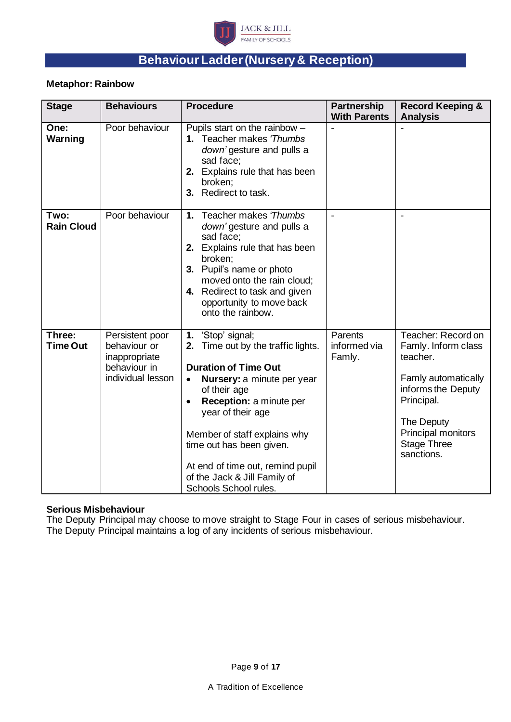

# **Behaviour Ladder (Nursery& Reception)**

#### **Metaphor: Rainbow**

| <b>Stage</b>              | <b>Behaviours</b>                                                                     | <b>Procedure</b>                                                                                                                                                                                                                                                                                                                                                              | Partnership<br><b>With Parents</b> | <b>Record Keeping &amp;</b><br><b>Analysis</b>                                                                                                                                           |
|---------------------------|---------------------------------------------------------------------------------------|-------------------------------------------------------------------------------------------------------------------------------------------------------------------------------------------------------------------------------------------------------------------------------------------------------------------------------------------------------------------------------|------------------------------------|------------------------------------------------------------------------------------------------------------------------------------------------------------------------------------------|
| One:<br>Warning           | Poor behaviour                                                                        | Pupils start on the rainbow $-$<br>1. Teacher makes 'Thumbs<br>down' gesture and pulls a<br>sad face;<br>2. Explains rule that has been<br>broken;<br>Redirect to task.<br>3.                                                                                                                                                                                                 |                                    |                                                                                                                                                                                          |
| Two:<br><b>Rain Cloud</b> | Poor behaviour                                                                        | Teacher makes 'Thumbs<br>1.<br>down' gesture and pulls a<br>sad face;<br>2. Explains rule that has been<br>broken;<br>3. Pupil's name or photo<br>moved onto the rain cloud;<br>4. Redirect to task and given<br>opportunity to move back<br>onto the rainbow.                                                                                                                |                                    |                                                                                                                                                                                          |
| Three:<br><b>Time Out</b> | Persistent poor<br>behaviour or<br>inappropriate<br>behaviour in<br>individual lesson | 'Stop' signal;<br>1.<br>Time out by the traffic lights.<br>2.<br><b>Duration of Time Out</b><br>Nursery: a minute per year<br>$\bullet$<br>of their age<br>Reception: a minute per<br>$\bullet$<br>year of their age<br>Member of staff explains why<br>time out has been given.<br>At end of time out, remind pupil<br>of the Jack & Jill Family of<br>Schools School rules. | Parents<br>informed via<br>Famly.  | Teacher: Record on<br>Famly. Inform class<br>teacher.<br>Famly automatically<br>informs the Deputy<br>Principal.<br>The Deputy<br>Principal monitors<br><b>Stage Three</b><br>sanctions. |

#### **Serious Misbehaviour**

The Deputy Principal may choose to move straight to Stage Four in cases of serious misbehaviour. The Deputy Principal maintains a log of any incidents of serious misbehaviour.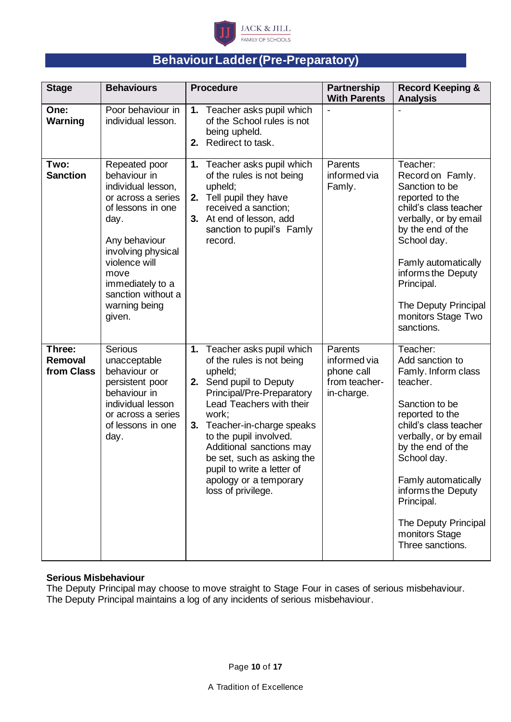

# **Behaviour Ladder (Pre-Preparatory)**

| <b>Stage</b>                    | <b>Behaviours</b>                                                                                                                                                                                                                           | <b>Procedure</b>                                                                                                                                                                                                                                                                                                                                                     | <b>Partnership</b><br><b>With Parents</b>                            | <b>Record Keeping &amp;</b><br><b>Analysis</b>                                                                                                                                                                                                                                                                     |
|---------------------------------|---------------------------------------------------------------------------------------------------------------------------------------------------------------------------------------------------------------------------------------------|----------------------------------------------------------------------------------------------------------------------------------------------------------------------------------------------------------------------------------------------------------------------------------------------------------------------------------------------------------------------|----------------------------------------------------------------------|--------------------------------------------------------------------------------------------------------------------------------------------------------------------------------------------------------------------------------------------------------------------------------------------------------------------|
| One:<br>Warning                 | Poor behaviour in<br>individual lesson.                                                                                                                                                                                                     | 1. Teacher asks pupil which<br>of the School rules is not<br>being upheld.<br>Redirect to task.<br>2.                                                                                                                                                                                                                                                                |                                                                      |                                                                                                                                                                                                                                                                                                                    |
| Two:<br><b>Sanction</b>         | Repeated poor<br>behaviour in<br>individual lesson,<br>or across a series<br>of lessons in one<br>day.<br>Any behaviour<br>involving physical<br>violence will<br>move<br>immediately to a<br>sanction without a<br>warning being<br>given. | 1. Teacher asks pupil which<br>of the rules is not being<br>upheld;<br>2. Tell pupil they have<br>received a sanction;<br>3. At end of lesson, add<br>sanction to pupil's Famly<br>record.                                                                                                                                                                           | Parents<br>informed via<br>Famly.                                    | Teacher:<br>Record on Famly.<br>Sanction to be<br>reported to the<br>child's class teacher<br>verbally, or by email<br>by the end of the<br>School day.<br>Famly automatically<br>informs the Deputy<br>Principal.<br>The Deputy Principal<br>monitors Stage Two<br>sanctions.                                     |
| Three:<br>Removal<br>from Class | <b>Serious</b><br>unacceptable<br>behaviour or<br>persistent poor<br>behaviour in<br>individual lesson<br>or across a series<br>of lessons in one<br>day.                                                                                   | 1. Teacher asks pupil which<br>of the rules is not being<br>upheld;<br>2. Send pupil to Deputy<br>Principal/Pre-Preparatory<br>Lead Teachers with their<br>work;<br>Teacher-in-charge speaks<br>3.<br>to the pupil involved.<br>Additional sanctions may<br>be set, such as asking the<br>pupil to write a letter of<br>apology or a temporary<br>loss of privilege. | Parents<br>informed via<br>phone call<br>from teacher-<br>in-charge. | Teacher:<br>Add sanction to<br>Famly. Inform class<br>teacher.<br>Sanction to be<br>reported to the<br>child's class teacher<br>verbally, or by email<br>by the end of the<br>School day.<br>Famly automatically<br>informs the Deputy<br>Principal.<br>The Deputy Principal<br>monitors Stage<br>Three sanctions. |

#### **Serious Misbehaviour**

The Deputy Principal may choose to move straight to Stage Four in cases of serious misbehaviour. The Deputy Principal maintains a log of any incidents of serious misbehaviour.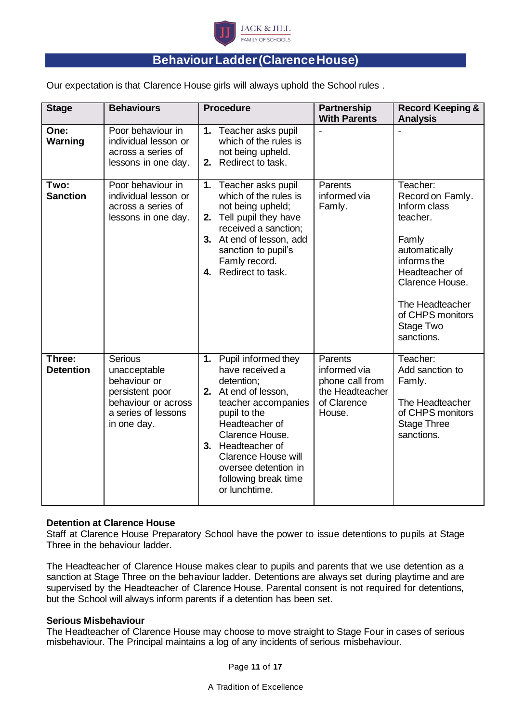

## **Behaviour Ladder (Clarence House)**

Our expectation is that Clarence House girls will always uphold the School rules .

| <b>Stage</b>               | <b>Behaviours</b>                                                                                                       | <b>Procedure</b>                                                                                                                                                                                                                                                                   | <b>Partnership</b><br><b>With Parents</b>                                              | <b>Record Keeping &amp;</b><br><b>Analysis</b>                                                                                                                                                           |
|----------------------------|-------------------------------------------------------------------------------------------------------------------------|------------------------------------------------------------------------------------------------------------------------------------------------------------------------------------------------------------------------------------------------------------------------------------|----------------------------------------------------------------------------------------|----------------------------------------------------------------------------------------------------------------------------------------------------------------------------------------------------------|
| One:<br>Warning            | Poor behaviour in<br>individual lesson or<br>across a series of<br>lessons in one day.                                  | Teacher asks pupil<br>1.<br>which of the rules is<br>not being upheld.<br>Redirect to task.<br>2.                                                                                                                                                                                  |                                                                                        |                                                                                                                                                                                                          |
| Two:<br><b>Sanction</b>    | Poor behaviour in<br>individual lesson or<br>across a series of<br>lessons in one day.                                  | Teacher asks pupil<br>1.<br>which of the rules is<br>not being upheld;<br>Tell pupil they have<br>2.<br>received a sanction;<br>3. At end of lesson, add<br>sanction to pupil's<br>Famly record.<br>4. Redirect to task.                                                           | Parents<br>informed via<br>Famly.                                                      | Teacher:<br>Record on Famly.<br>Inform class<br>teacher.<br>Famly<br>automatically<br>informs the<br>Headteacher of<br>Clarence House.<br>The Headteacher<br>of CHPS monitors<br>Stage Two<br>sanctions. |
| Three:<br><b>Detention</b> | Serious<br>unacceptable<br>behaviour or<br>persistent poor<br>behaviour or across<br>a series of lessons<br>in one day. | Pupil informed they<br>1.<br>have received a<br>detention;<br>2. At end of lesson,<br>teacher accompanies<br>pupil to the<br>Headteacher of<br>Clarence House.<br>3. Headteacher of<br><b>Clarence House will</b><br>oversee detention in<br>following break time<br>or lunchtime. | Parents<br>informed via<br>phone call from<br>the Headteacher<br>of Clarence<br>House. | Teacher:<br>Add sanction to<br>Famly.<br>The Headteacher<br>of CHPS monitors<br><b>Stage Three</b><br>sanctions.                                                                                         |

#### **Detention at Clarence House**

Staff at Clarence House Preparatory School have the power to issue detentions to pupils at Stage Three in the behaviour ladder.

The Headteacher of Clarence House makes clear to pupils and parents that we use detention as a sanction at Stage Three on the behaviour ladder. Detentions are always set during playtime and are supervised by the Headteacher of Clarence House. Parental consent is not required for detentions, but the School will always inform parents if a detention has been set.

#### **Serious Misbehaviour**

The Headteacher of Clarence House may choose to move straight to Stage Four in cases of serious misbehaviour. The Principal maintains a log of any incidents of serious misbehaviour.

Page **11** of **17**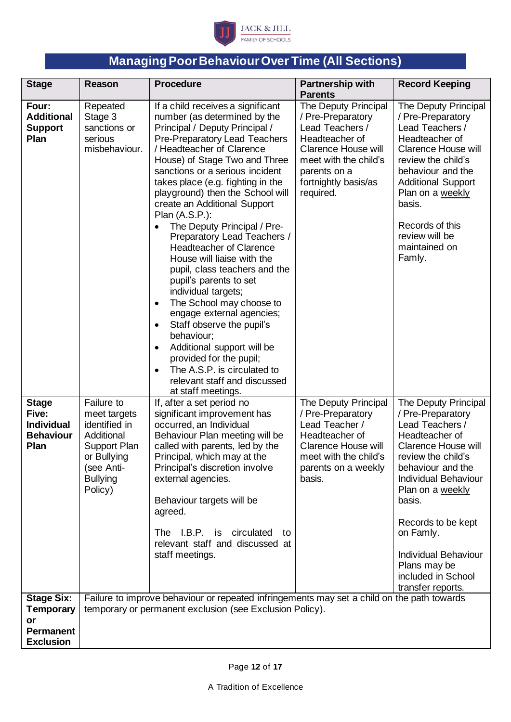

# **Managing Poor Behaviour Over Time (All Sections)**

| <b>Stage</b>                                                                  | Reason                                                                                                                               | <b>Procedure</b>                                                                                                                                                                                                                                                                                                                                                                                                                                                                                                                                                                                                                                                                                                                                                                                                                                                                                    | <b>Partnership with</b><br><b>Parents</b>                                                                                                                                                  | <b>Record Keeping</b>                                                                                                                                                                                                                                                                                                                      |
|-------------------------------------------------------------------------------|--------------------------------------------------------------------------------------------------------------------------------------|-----------------------------------------------------------------------------------------------------------------------------------------------------------------------------------------------------------------------------------------------------------------------------------------------------------------------------------------------------------------------------------------------------------------------------------------------------------------------------------------------------------------------------------------------------------------------------------------------------------------------------------------------------------------------------------------------------------------------------------------------------------------------------------------------------------------------------------------------------------------------------------------------------|--------------------------------------------------------------------------------------------------------------------------------------------------------------------------------------------|--------------------------------------------------------------------------------------------------------------------------------------------------------------------------------------------------------------------------------------------------------------------------------------------------------------------------------------------|
| Four:<br><b>Additional</b><br><b>Support</b><br>Plan                          | Repeated<br>Stage 3<br>sanctions or<br>serious<br>misbehaviour.                                                                      | If a child receives a significant<br>number (as determined by the<br>Principal / Deputy Principal /<br>Pre-Preparatory Lead Teachers<br>/ Headteacher of Clarence<br>House) of Stage Two and Three<br>sanctions or a serious incident<br>takes place (e.g. fighting in the<br>playground) then the School will<br>create an Additional Support<br>Plan (A.S.P.):<br>The Deputy Principal / Pre-<br>$\bullet$<br>Preparatory Lead Teachers /<br><b>Headteacher of Clarence</b><br>House will liaise with the<br>pupil, class teachers and the<br>pupil's parents to set<br>individual targets;<br>The School may choose to<br>$\bullet$<br>engage external agencies;<br>Staff observe the pupil's<br>$\bullet$<br>behaviour;<br>Additional support will be<br>$\bullet$<br>provided for the pupil;<br>The A.S.P. is circulated to<br>$\bullet$<br>relevant staff and discussed<br>at staff meetings. | The Deputy Principal<br>/ Pre-Preparatory<br>Lead Teachers /<br>Headteacher of<br><b>Clarence House will</b><br>meet with the child's<br>parents on a<br>fortnightly basis/as<br>required. | The Deputy Principal<br>/ Pre-Preparatory<br>Lead Teachers /<br>Headteacher of<br><b>Clarence House will</b><br>review the child's<br>behaviour and the<br><b>Additional Support</b><br>Plan on a weekly<br>basis.<br>Records of this<br>review will be<br>maintained on<br>Famly.                                                         |
| <b>Stage</b><br>Five:<br><b>Individual</b><br><b>Behaviour</b><br><b>Plan</b> | Failure to<br>meet targets<br>identified in<br>Additional<br>Support Plan<br>or Bullying<br>(see Anti-<br><b>Bullying</b><br>Policy) | If, after a set period no<br>significant improvement has<br>occurred, an Individual<br>Behaviour Plan meeting will be<br>called with parents, led by the<br>Principal, which may at the<br>Principal's discretion involve<br>external agencies.<br>Behaviour targets will be<br>agreed.<br>The I.B.P. is<br>circulated<br>to<br>relevant staff and discussed at<br>staff meetings.                                                                                                                                                                                                                                                                                                                                                                                                                                                                                                                  | The Deputy Principal<br>/ Pre-Preparatory<br>Lead Teacher /<br>Headteacher of<br><b>Clarence House will</b><br>meet with the child's<br>parents on a weekly<br>basis.                      | The Deputy Principal<br>/ Pre-Preparatory<br>Lead Teachers /<br>Headteacher of<br>Clarence House will<br>review the child's<br>behaviour and the<br><b>Individual Behaviour</b><br>Plan on a weekly<br>basis.<br>Records to be kept<br>on Famly.<br><b>Individual Behaviour</b><br>Plans may be<br>included in School<br>transfer reports. |
| <b>Stage Six:</b><br><b>Temporary</b><br>or                                   |                                                                                                                                      | Failure to improve behaviour or repeated infringements may set a child on the path towards<br>temporary or permanent exclusion (see Exclusion Policy).                                                                                                                                                                                                                                                                                                                                                                                                                                                                                                                                                                                                                                                                                                                                              |                                                                                                                                                                                            |                                                                                                                                                                                                                                                                                                                                            |
| <b>Permanent</b><br><b>Exclusion</b>                                          |                                                                                                                                      |                                                                                                                                                                                                                                                                                                                                                                                                                                                                                                                                                                                                                                                                                                                                                                                                                                                                                                     |                                                                                                                                                                                            |                                                                                                                                                                                                                                                                                                                                            |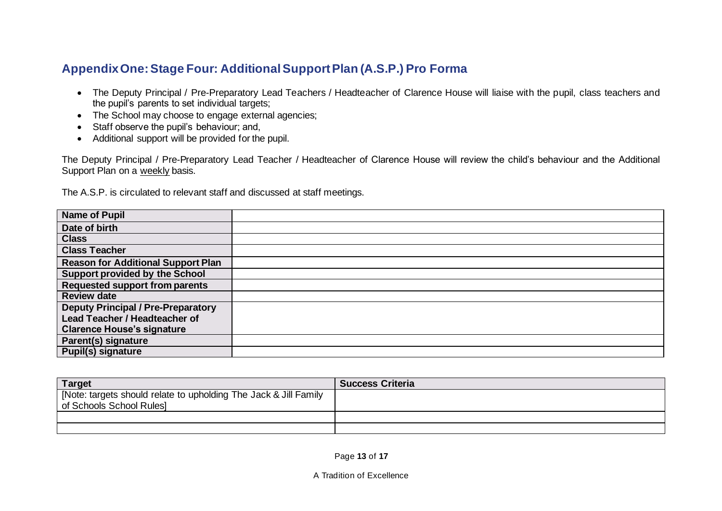## **Appendix One: Stage Four: Additional Support Plan (A.S.P.) Pro Forma**

- The Deputy Principal / Pre-Preparatory Lead Teachers / Headteacher of Clarence House will liaise with the pupil, class teachers and the pupil's parents to set individual targets;
- The School may choose to engage external agencies;
- Staff observe the pupil's behaviour; and,
- Additional support will be provided for the pupil.

The Deputy Principal / Pre-Preparatory Lead Teacher / Headteacher of Clarence House will review the child's behaviour and the Additional Support Plan on a weekly basis.

The A.S.P. is circulated to relevant staff and discussed at staff meetings.

| <b>Name of Pupil</b>                      |  |
|-------------------------------------------|--|
| Date of birth                             |  |
| <b>Class</b>                              |  |
| <b>Class Teacher</b>                      |  |
| <b>Reason for Additional Support Plan</b> |  |
| <b>Support provided by the School</b>     |  |
| Requested support from parents            |  |
| <b>Review date</b>                        |  |
| <b>Deputy Principal / Pre-Preparatory</b> |  |
| Lead Teacher / Headteacher of             |  |
| <b>Clarence House's signature</b>         |  |
| Parent(s) signature                       |  |
| <b>Pupil(s) signature</b>                 |  |

| <b>Target</b>                                                    | <b>Success Criteria</b> |
|------------------------------------------------------------------|-------------------------|
| [Note: targets should relate to upholding The Jack & Jill Family |                         |
| of Schools School Rules]                                         |                         |
|                                                                  |                         |
|                                                                  |                         |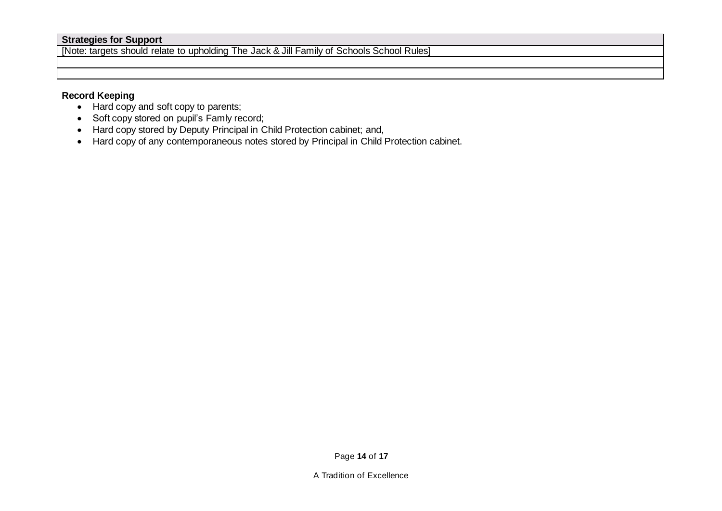#### **Strategies for Support**

[Note: targets should relate to upholding The Jack & Jill Family of Schools School Rules]

## **Record Keeping**

- Hard copy and soft copy to parents;
- Soft copy stored on pupil's Famly record;
- Hard copy stored by Deputy Principal in Child Protection cabinet; and,
- Hard copy of any contemporaneous notes stored by Principal in Child Protection cabinet.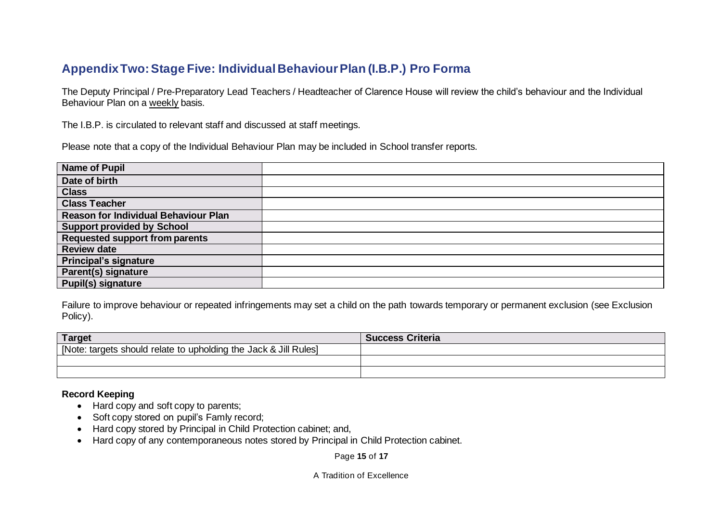## **Appendix Two: Stage Five: Individual Behaviour Plan (I.B.P.) Pro Forma**

The Deputy Principal / Pre-Preparatory Lead Teachers / Headteacher of Clarence House will review the child's behaviour and the Individual Behaviour Plan on a weekly basis.

The I.B.P. is circulated to relevant staff and discussed at staff meetings.

Please note that a copy of the Individual Behaviour Plan may be included in School transfer reports.

| <b>Name of Pupil</b>                        |  |
|---------------------------------------------|--|
| Date of birth                               |  |
| <b>Class</b>                                |  |
| <b>Class Teacher</b>                        |  |
| <b>Reason for Individual Behaviour Plan</b> |  |
| <b>Support provided by School</b>           |  |
| <b>Requested support from parents</b>       |  |
| <b>Review date</b>                          |  |
| <b>Principal's signature</b>                |  |
| Parent(s) signature                         |  |
| <b>Pupil(s) signature</b>                   |  |

Failure to improve behaviour or repeated infringements may set a child on the path towards temporary or permanent exclusion (see Exclusion Policy).

| Target                                                           | <b>Success Criteria</b> |
|------------------------------------------------------------------|-------------------------|
| [Note: targets should relate to upholding the Jack & Jill Rules] |                         |
|                                                                  |                         |
|                                                                  |                         |

#### **Record Keeping**

- Hard copy and soft copy to parents;
- Soft copy stored on pupil's Famly record;
- Hard copy stored by Principal in Child Protection cabinet; and,
- Hard copy of any contemporaneous notes stored by Principal in Child Protection cabinet.

Page **15** of **17**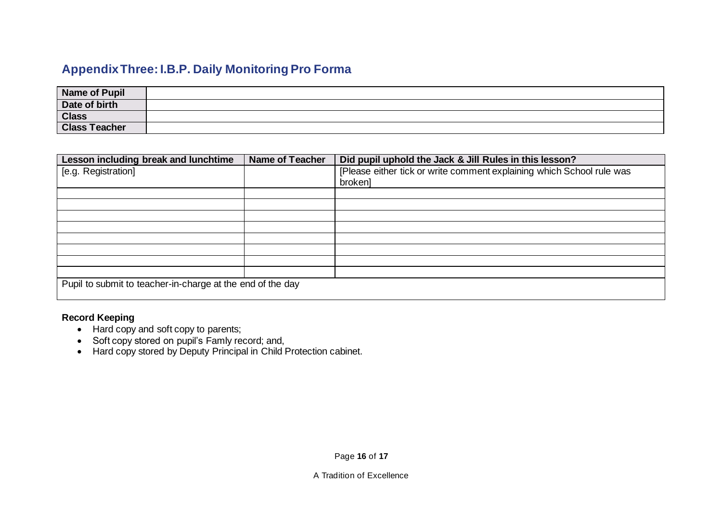# **Appendix Three: I.B.P. Daily Monitoring Pro Forma**

| Name of Pupil        |  |
|----------------------|--|
| Date of birth        |  |
| <b>Class</b>         |  |
| <b>Class Teacher</b> |  |

| Lesson including break and lunchtime                       | <b>Name of Teacher</b> | Did pupil uphold the Jack & Jill Rules in this lesson?                |  |
|------------------------------------------------------------|------------------------|-----------------------------------------------------------------------|--|
| [e.g. Registration]                                        |                        | [Please either tick or write comment explaining which School rule was |  |
|                                                            |                        | brokenl                                                               |  |
|                                                            |                        |                                                                       |  |
|                                                            |                        |                                                                       |  |
|                                                            |                        |                                                                       |  |
|                                                            |                        |                                                                       |  |
|                                                            |                        |                                                                       |  |
|                                                            |                        |                                                                       |  |
|                                                            |                        |                                                                       |  |
|                                                            |                        |                                                                       |  |
| Pupil to submit to teacher-in-charge at the end of the day |                        |                                                                       |  |

### **Record Keeping**

- Hard copy and soft copy to parents;
- Soft copy stored on pupil's Famly record; and,
- Hard copy stored by Deputy Principal in Child Protection cabinet.